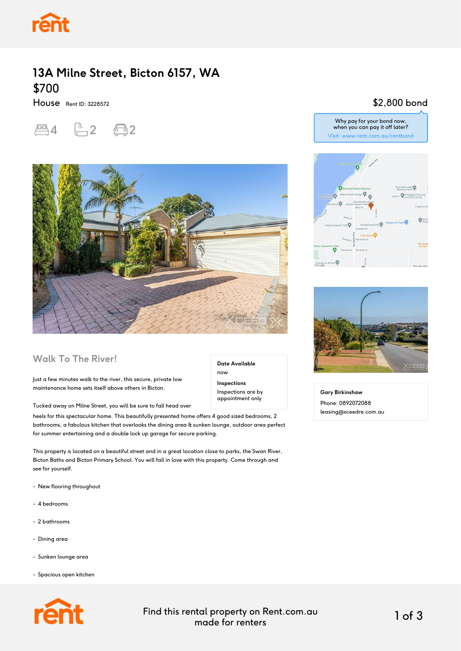

## **13A Milne Street, Bicton 6157, WA** \$700

House Rent ID: 3228572

# $-4$   $-2$   $-2$



### **Walk To The River!**

Just a few minutes walk to the river, this secure, private low maintenance home sets itself above others in Bicton.

Tucked away on Milne Street, you will be sure to fall head over

heels for this spectacular home. This beautifully presented home offers 4 good sized bedrooms, 2 bathrooms, a fabulous kitchen that overlooks the dining area & sunken lounge, outdoor area perfect for summer entertaining and a double lock up garage for secure parking.

This property is located on a beautiful street and in a great location close to parks, the Swan River, Bicton Baths and Bicton Primary School. You will fall in love with this property. Come through and see for yourself.

- New flooring throughout
- 4 bedrooms
- 2 bathrooms
- Dining area
- Sunken lounge area
- Spacious open kitchen



**Date Available** now **Inspections**

Inspections are by appointment only

Why pay for your bond now, when you can pay it off later? Visit: www.rent.com.au/rentbond

\$2,800 bond





**Gary Birkinshaw** Phone: 0892072088 leasing@xceedre.com.au

#### Find this rental property on Rent.com.au made for renters 1 of 3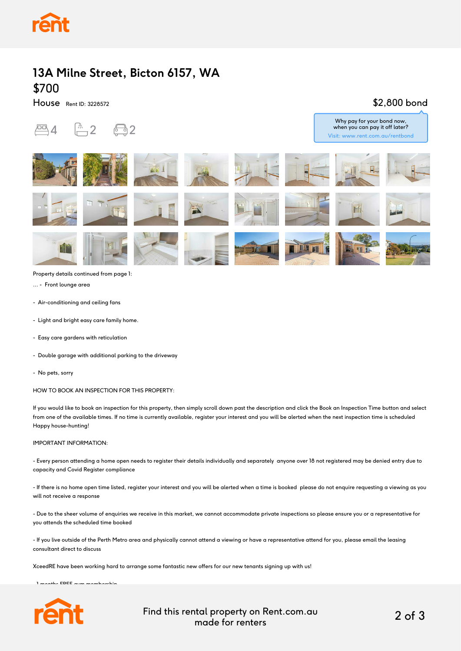

## **13A Milne Street, Bicton 6157, WA** \$700

House Rent ID: 3228572

#### \$2,800 bond

Why pay for your bond now,





Property details continued from page 1:

... - Front lounge area

- Air-conditioning and ceiling fans
- Light and bright easy care family home.
- Easy care gardens with reticulation
- Double garage with additional parking to the driveway
- No pets, sorry

HOW TO BOOK AN INSPECTION FOR THIS PROPERTY:

If you would like to book an inspection for this property, then simply scroll down past the description and click the Book an Inspection Time button and select from one of the available times. If no time is currently available, register your interest and you will be alerted when the next inspection time is scheduled Happy house-hunting!

#### IMPORTANT INFORMATION:

- Every person attending a home open needs to register their details individually and separately anyone over 18 not registered may be denied entry due to capacity and Covid Register compliance

- If there is no home open time listed, register your interest and you will be alerted when a time is booked please do not enquire requesting a viewing as you will not receive a response

- Due to the sheer volume of enquiries we receive in this market, we cannot accommodate private inspections so please ensure you or a representative for you attends the scheduled time booked

- If you live outside of the Perth Metro area and physically cannot attend a viewing or have a representative attend for you, please email the leasing consultant direct to discuss

XceedRE have been working hard to arrange some fantastic new offers for our new tenants signing up with us!

 $\mathbf{1}$  months FREE gymn membership membership membership membership membership membership membership membership membership membership membership membership membership membership membership membership membership membersh



Find this rental property on Rent.com.au made for renters 2 of 3